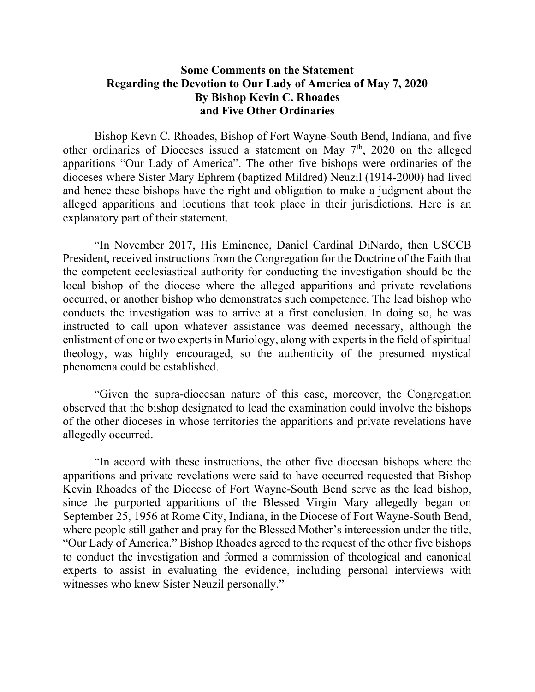## Some Comments on the Statement Regarding the Devotion to Our Lady of America of May 7, 2020 By Bishop Kevin C. Rhoades and Five Other Ordinaries

 Bishop Kevn C. Rhoades, Bishop of Fort Wayne-South Bend, Indiana, and five other ordinaries of Dioceses issued a statement on May 7<sup>th</sup>, 2020 on the alleged apparitions "Our Lady of America". The other five bishops were ordinaries of the dioceses where Sister Mary Ephrem (baptized Mildred) Neuzil (1914-2000) had lived and hence these bishops have the right and obligation to make a judgment about the alleged apparitions and locutions that took place in their jurisdictions. Here is an explanatory part of their statement.

"In November 2017, His Eminence, Daniel Cardinal DiNardo, then USCCB President, received instructions from the Congregation for the Doctrine of the Faith that the competent ecclesiastical authority for conducting the investigation should be the local bishop of the diocese where the alleged apparitions and private revelations occurred, or another bishop who demonstrates such competence. The lead bishop who conducts the investigation was to arrive at a first conclusion. In doing so, he was instructed to call upon whatever assistance was deemed necessary, although the enlistment of one or two experts in Mariology, along with experts in the field of spiritual theology, was highly encouraged, so the authenticity of the presumed mystical phenomena could be established.

"Given the supra-diocesan nature of this case, moreover, the Congregation observed that the bishop designated to lead the examination could involve the bishops of the other dioceses in whose territories the apparitions and private revelations have allegedly occurred.

"In accord with these instructions, the other five diocesan bishops where the apparitions and private revelations were said to have occurred requested that Bishop Kevin Rhoades of the Diocese of Fort Wayne-South Bend serve as the lead bishop, since the purported apparitions of the Blessed Virgin Mary allegedly began on September 25, 1956 at Rome City, Indiana, in the Diocese of Fort Wayne-South Bend, where people still gather and pray for the Blessed Mother's intercession under the title, "Our Lady of America." Bishop Rhoades agreed to the request of the other five bishops to conduct the investigation and formed a commission of theological and canonical experts to assist in evaluating the evidence, including personal interviews with witnesses who knew Sister Neuzil personally."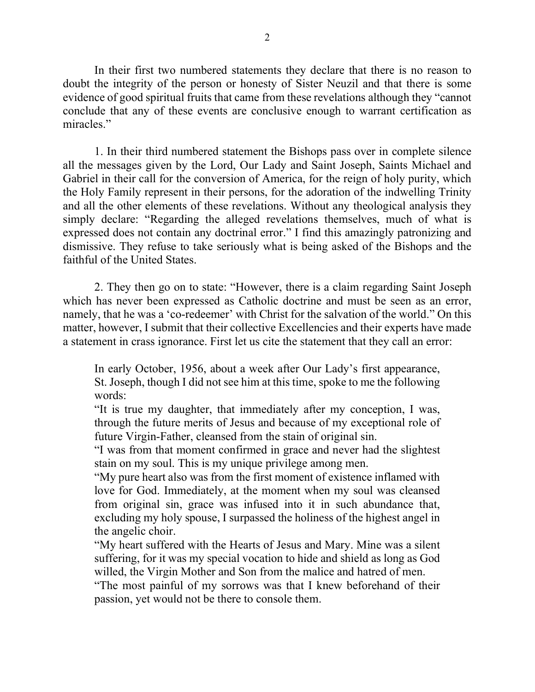In their first two numbered statements they declare that there is no reason to doubt the integrity of the person or honesty of Sister Neuzil and that there is some evidence of good spiritual fruits that came from these revelations although they "cannot conclude that any of these events are conclusive enough to warrant certification as miracles."

 1. In their third numbered statement the Bishops pass over in complete silence all the messages given by the Lord, Our Lady and Saint Joseph, Saints Michael and Gabriel in their call for the conversion of America, for the reign of holy purity, which the Holy Family represent in their persons, for the adoration of the indwelling Trinity and all the other elements of these revelations. Without any theological analysis they simply declare: "Regarding the alleged revelations themselves, much of what is expressed does not contain any doctrinal error." I find this amazingly patronizing and dismissive. They refuse to take seriously what is being asked of the Bishops and the faithful of the United States.

 2. They then go on to state: "However, there is a claim regarding Saint Joseph which has never been expressed as Catholic doctrine and must be seen as an error, namely, that he was a 'co-redeemer' with Christ for the salvation of the world." On this matter, however, I submit that their collective Excellencies and their experts have made a statement in crass ignorance. First let us cite the statement that they call an error:

In early October, 1956, about a week after Our Lady's first appearance, St. Joseph, though I did not see him at this time, spoke to me the following words:

"It is true my daughter, that immediately after my conception, I was, through the future merits of Jesus and because of my exceptional role of future Virgin-Father, cleansed from the stain of original sin.

"I was from that moment confirmed in grace and never had the slightest stain on my soul. This is my unique privilege among men.

"My pure heart also was from the first moment of existence inflamed with love for God. Immediately, at the moment when my soul was cleansed from original sin, grace was infused into it in such abundance that, excluding my holy spouse, I surpassed the holiness of the highest angel in the angelic choir.

"My heart suffered with the Hearts of Jesus and Mary. Mine was a silent suffering, for it was my special vocation to hide and shield as long as God willed, the Virgin Mother and Son from the malice and hatred of men.

"The most painful of my sorrows was that I knew beforehand of their passion, yet would not be there to console them.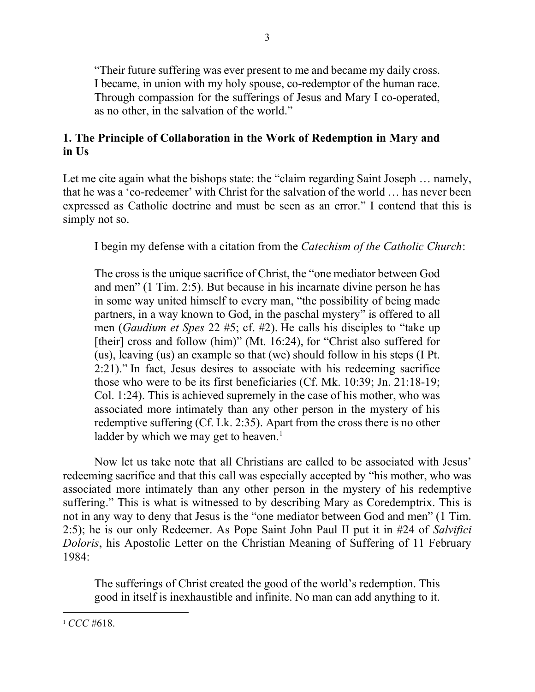"Their future suffering was ever present to me and became my daily cross. I became, in union with my holy spouse, co-redemptor of the human race. Through compassion for the sufferings of Jesus and Mary I co-operated, as no other, in the salvation of the world."

## 1. The Principle of Collaboration in the Work of Redemption in Mary and in Us

Let me cite again what the bishops state: the "claim regarding Saint Joseph … namely, that he was a 'co-redeemer' with Christ for the salvation of the world … has never been expressed as Catholic doctrine and must be seen as an error." I contend that this is simply not so.

I begin my defense with a citation from the Catechism of the Catholic Church:

The cross is the unique sacrifice of Christ, the "one mediator between God and men" (1 Tim. 2:5). But because in his incarnate divine person he has in some way united himself to every man, "the possibility of being made partners, in a way known to God, in the paschal mystery" is offered to all men (Gaudium et Spes 22 #5; cf. #2). He calls his disciples to "take up [their] cross and follow (him)" (Mt. 16:24), for "Christ also suffered for (us), leaving (us) an example so that (we) should follow in his steps (I Pt. 2:21)." In fact, Jesus desires to associate with his redeeming sacrifice those who were to be its first beneficiaries (Cf. Mk. 10:39; Jn. 21:18-19; Col. 1:24). This is achieved supremely in the case of his mother, who was associated more intimately than any other person in the mystery of his redemptive suffering (Cf. Lk. 2:35). Apart from the cross there is no other ladder by which we may get to heaven. $<sup>1</sup>$ </sup>

Now let us take note that all Christians are called to be associated with Jesus' redeeming sacrifice and that this call was especially accepted by "his mother, who was associated more intimately than any other person in the mystery of his redemptive suffering." This is what is witnessed to by describing Mary as Coredemptrix. This is not in any way to deny that Jesus is the "one mediator between God and men" (1 Tim. 2:5); he is our only Redeemer. As Pope Saint John Paul II put it in #24 of Salvifici Doloris, his Apostolic Letter on the Christian Meaning of Suffering of 11 February 1984:

The sufferings of Christ created the good of the world's redemption. This good in itself is inexhaustible and infinite. No man can add anything to it.

 $1 CCC \#618.$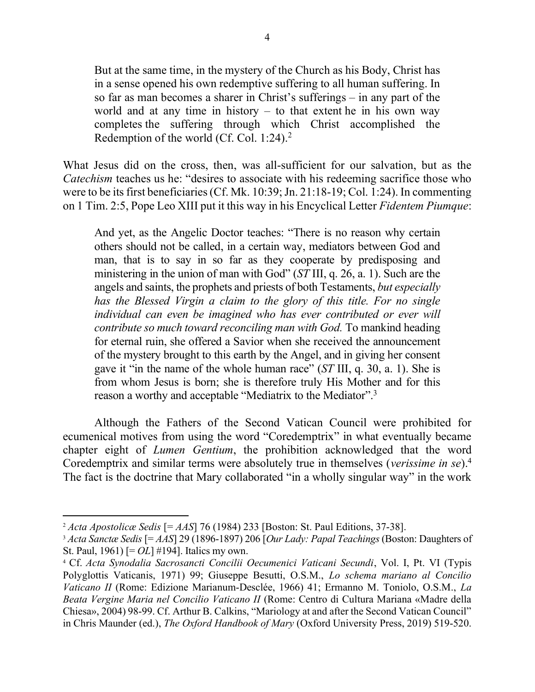But at the same time, in the mystery of the Church as his Body, Christ has in a sense opened his own redemptive suffering to all human suffering. In so far as man becomes a sharer in Christ's sufferings – in any part of the world and at any time in history  $-$  to that extent he in his own way completes the suffering through which Christ accomplished the Redemption of the world (Cf. Col. 1:24).<sup>2</sup>

What Jesus did on the cross, then, was all-sufficient for our salvation, but as the Catechism teaches us he: "desires to associate with his redeeming sacrifice those who were to be its first beneficiaries (Cf. Mk. 10:39; Jn. 21:18-19; Col. 1:24). In commenting on 1 Tim. 2:5, Pope Leo XIII put it this way in his Encyclical Letter Fidentem Piumque:

And yet, as the Angelic Doctor teaches: "There is no reason why certain others should not be called, in a certain way, mediators between God and man, that is to say in so far as they cooperate by predisposing and ministering in the union of man with God" (ST III, q. 26, a. 1). Such are the angels and saints, the prophets and priests of both Testaments, but especially has the Blessed Virgin a claim to the glory of this title. For no single individual can even be imagined who has ever contributed or ever will contribute so much toward reconciling man with God. To mankind heading for eternal ruin, she offered a Savior when she received the announcement of the mystery brought to this earth by the Angel, and in giving her consent gave it "in the name of the whole human race" (ST III, q. 30, a. 1). She is from whom Jesus is born; she is therefore truly His Mother and for this reason a worthy and acceptable "Mediatrix to the Mediator".<sup>3</sup>

 Although the Fathers of the Second Vatican Council were prohibited for ecumenical motives from using the word "Coredemptrix" in what eventually became chapter eight of Lumen Gentium, the prohibition acknowledged that the word Coredemptrix and similar terms were absolutely true in themselves (verissime in se).<sup>4</sup> The fact is the doctrine that Mary collaborated "in a wholly singular way" in the work

<sup>&</sup>lt;sup>2</sup> Acta Apostolicæ Sedis  $[=AAS]$  76 (1984) 233 [Boston: St. Paul Editions, 37-38].

<sup>&</sup>lt;sup>3</sup> Acta Sanctæ Sedis  $[=AAS]$  29 (1896-1897) 206 [Our Lady: Papal Teachings (Boston: Daughters of St. Paul, 1961)  $[= O L] \# 194$ . Italics my own.

<sup>4</sup> Cf. Acta Synodalia Sacrosancti Concilii Oecumenici Vaticani Secundi, Vol. I, Pt. VI (Typis Polyglottis Vaticanis, 1971) 99; Giuseppe Besutti, O.S.M., Lo schema mariano al Concilio Vaticano II (Rome: Edizione Marianum-Desclée, 1966) 41; Ermanno M. Toniolo, O.S.M., La Beata Vergine Maria nel Concilio Vaticano II (Rome: Centro di Cultura Mariana «Madre della Chiesa», 2004) 98-99. Cf. Arthur B. Calkins, "Mariology at and after the Second Vatican Council" in Chris Maunder (ed.), The Oxford Handbook of Mary (Oxford University Press, 2019) 519-520.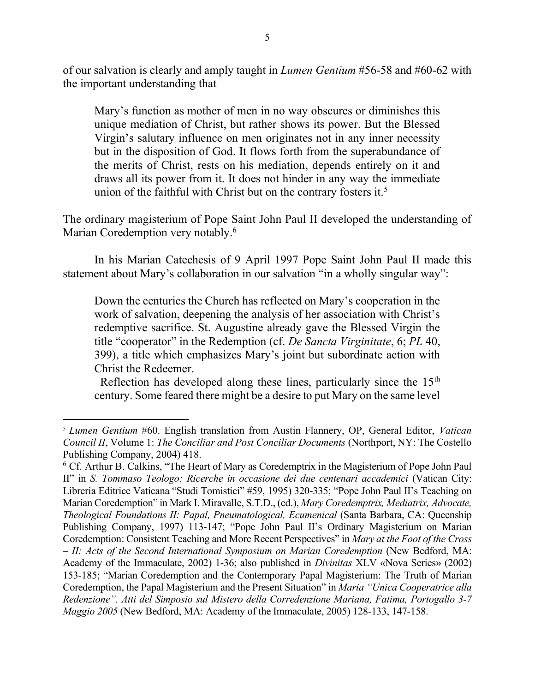of our salvation is clearly and amply taught in Lumen Gentium #56-58 and #60-62 with the important understanding that

Mary's function as mother of men in no way obscures or diminishes this unique mediation of Christ, but rather shows its power. But the Blessed Virgin's salutary influence on men originates not in any inner necessity but in the disposition of God. It flows forth from the superabundance of the merits of Christ, rests on his mediation, depends entirely on it and draws all its power from it. It does not hinder in any way the immediate union of the faithful with Christ but on the contrary fosters it.<sup>5</sup>

The ordinary magisterium of Pope Saint John Paul II developed the understanding of Marian Coredemption very notably.<sup>6</sup>

 In his Marian Catechesis of 9 April 1997 Pope Saint John Paul II made this statement about Mary's collaboration in our salvation "in a wholly singular way":

Down the centuries the Church has reflected on Mary's cooperation in the work of salvation, deepening the analysis of her association with Christ's redemptive sacrifice. St. Augustine already gave the Blessed Virgin the title "cooperator" in the Redemption (cf. De Sancta Virginitate, 6; PL 40, 399), a title which emphasizes Mary's joint but subordinate action with Christ the Redeemer.

Reflection has developed along these lines, particularly since the  $15<sup>th</sup>$ century. Some feared there might be a desire to put Mary on the same level

<sup>&</sup>lt;sup>5</sup> Lumen Gentium #60. English translation from Austin Flannery, OP, General Editor, Vatican Council II, Volume 1: The Conciliar and Post Conciliar Documents (Northport, NY: The Costello Publishing Company, 2004) 418.

<sup>&</sup>lt;sup>6</sup> Cf. Arthur B. Calkins, "The Heart of Mary as Coredemptrix in the Magisterium of Pope John Paul II" in S. Tommaso Teologo: Ricerche in occasione dei due centenari accademici (Vatican City: Libreria Editrice Vaticana "Studi Tomistici" #59, 1995) 320-335; "Pope John Paul II's Teaching on Marian Coredemption" in Mark I. Miravalle, S.T.D., (ed.), Mary Coredemptrix, Mediatrix, Advocate, Theological Foundations II: Papal, Pneumatological, Ecumenical (Santa Barbara, CA: Queenship Publishing Company, 1997) 113-147; "Pope John Paul II's Ordinary Magisterium on Marian Coredemption: Consistent Teaching and More Recent Perspectives" in Mary at the Foot of the Cross – II: Acts of the Second International Symposium on Marian Coredemption (New Bedford, MA: Academy of the Immaculate, 2002) 1-36; also published in Divinitas XLV «Nova Series» (2002) 153-185; "Marian Coredemption and the Contemporary Papal Magisterium: The Truth of Marian Coredemption, the Papal Magisterium and the Present Situation" in Maria "Unica Cooperatrice alla Redenzione". Atti del Simposio sul Mistero della Corredenzione Mariana, Fatima, Portogallo 3-7 Maggio 2005 (New Bedford, MA: Academy of the Immaculate, 2005) 128-133, 147-158.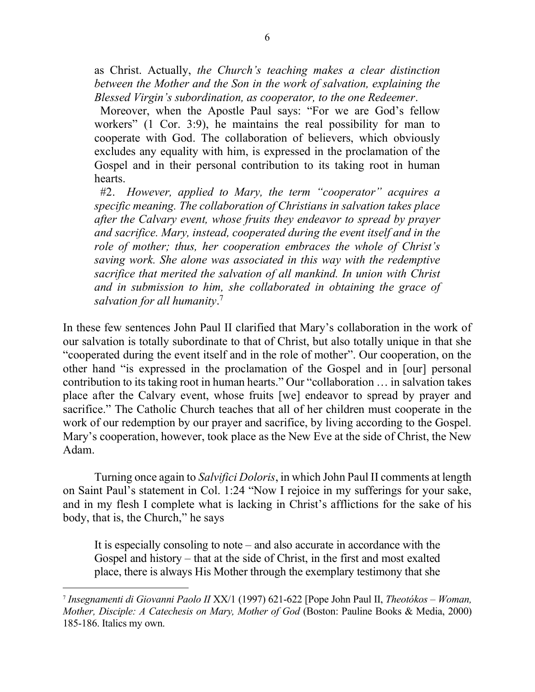as Christ. Actually, the Church's teaching makes a clear distinction between the Mother and the Son in the work of salvation, explaining the Blessed Virgin's subordination, as cooperator, to the one Redeemer.

 Moreover, when the Apostle Paul says: "For we are God's fellow workers" (1 Cor. 3:9), he maintains the real possibility for man to cooperate with God. The collaboration of believers, which obviously excludes any equality with him, is expressed in the proclamation of the Gospel and in their personal contribution to its taking root in human hearts.

 #2. However, applied to Mary, the term "cooperator" acquires a specific meaning. The collaboration of Christians in salvation takes place after the Calvary event, whose fruits they endeavor to spread by prayer and sacrifice. Mary, instead, cooperated during the event itself and in the role of mother; thus, her cooperation embraces the whole of Christ's saving work. She alone was associated in this way with the redemptive sacrifice that merited the salvation of all mankind. In union with Christ and in submission to him, she collaborated in obtaining the grace of salvation for all humanity.<sup>7</sup>

In these few sentences John Paul II clarified that Mary's collaboration in the work of our salvation is totally subordinate to that of Christ, but also totally unique in that she "cooperated during the event itself and in the role of mother". Our cooperation, on the other hand "is expressed in the proclamation of the Gospel and in [our] personal contribution to its taking root in human hearts." Our "collaboration … in salvation takes place after the Calvary event, whose fruits [we] endeavor to spread by prayer and sacrifice." The Catholic Church teaches that all of her children must cooperate in the work of our redemption by our prayer and sacrifice, by living according to the Gospel. Mary's cooperation, however, took place as the New Eve at the side of Christ, the New Adam.

Turning once again to *Salvifici Doloris*, in which John Paul II comments at length on Saint Paul's statement in Col. 1:24 "Now I rejoice in my sufferings for your sake, and in my flesh I complete what is lacking in Christ's afflictions for the sake of his body, that is, the Church," he says

It is especially consoling to note – and also accurate in accordance with the Gospel and history – that at the side of Christ, in the first and most exalted place, there is always His Mother through the exemplary testimony that she

<sup>7</sup> Insegnamenti di Giovanni Paolo II XX/1 (1997) 621-622 [Pope John Paul II, Theotókos – Woman, Mother, Disciple: A Catechesis on Mary, Mother of God (Boston: Pauline Books & Media, 2000) 185-186. Italics my own.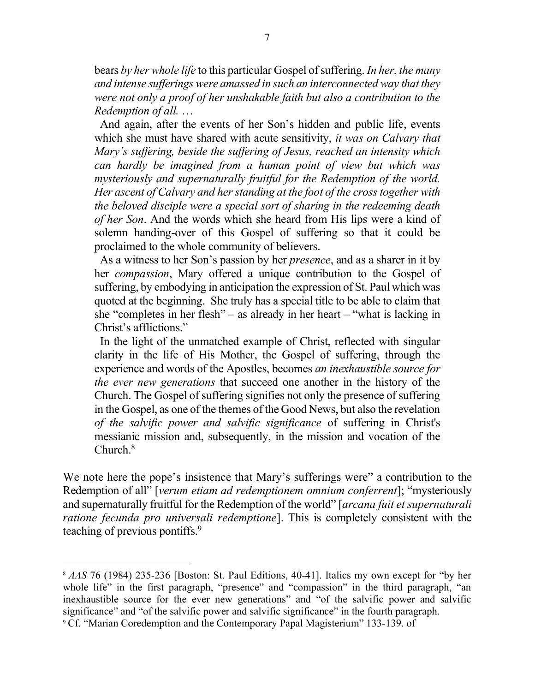bears by her whole life to this particular Gospel of suffering. In her, the many and intense sufferings were amassed in such an interconnected way that they were not only a proof of her unshakable faith but also a contribution to the Redemption of all. …

 And again, after the events of her Son's hidden and public life, events which she must have shared with acute sensitivity, it was on Calvary that Mary's suffering, beside the suffering of Jesus, reached an intensity which can hardly be imagined from a human point of view but which was mysteriously and supernaturally fruitful for the Redemption of the world. Her ascent of Calvary and her standing at the foot of the cross together with the beloved disciple were a special sort of sharing in the redeeming death of her Son. And the words which she heard from His lips were a kind of solemn handing-over of this Gospel of suffering so that it could be proclaimed to the whole community of believers.

 As a witness to her Son's passion by her presence, and as a sharer in it by her compassion, Mary offered a unique contribution to the Gospel of suffering, by embodying in anticipation the expression of St. Paul which was quoted at the beginning. She truly has a special title to be able to claim that she "completes in her flesh" – as already in her heart – "what is lacking in Christ's afflictions."

 In the light of the unmatched example of Christ, reflected with singular clarity in the life of His Mother, the Gospel of suffering, through the experience and words of the Apostles, becomes an inexhaustible source for the ever new generations that succeed one another in the history of the Church. The Gospel of suffering signifies not only the presence of suffering in the Gospel, as one of the themes of the Good News, but also the revelation of the salvific power and salvific significance of suffering in Christ's messianic mission and, subsequently, in the mission and vocation of the  $Church<sup>8</sup>$ 

We note here the pope's insistence that Mary's sufferings were" a contribution to the Redemption of all" [verum etiam ad redemptionem omnium conferrent]; "mysteriously and supernaturally fruitful for the Redemption of the world" [arcana fuit et supernaturali ratione fecunda pro universali redemptione]. This is completely consistent with the teaching of previous pontiffs.<sup>9</sup>

<sup>&</sup>lt;sup>8</sup> AAS 76 (1984) 235-236 [Boston: St. Paul Editions, 40-41]. Italics my own except for "by her whole life" in the first paragraph, "presence" and "compassion" in the third paragraph, "an inexhaustible source for the ever new generations" and "of the salvific power and salvific significance" and "of the salvific power and salvific significance" in the fourth paragraph.

<sup>9</sup> Cf. "Marian Coredemption and the Contemporary Papal Magisterium" 133-139. of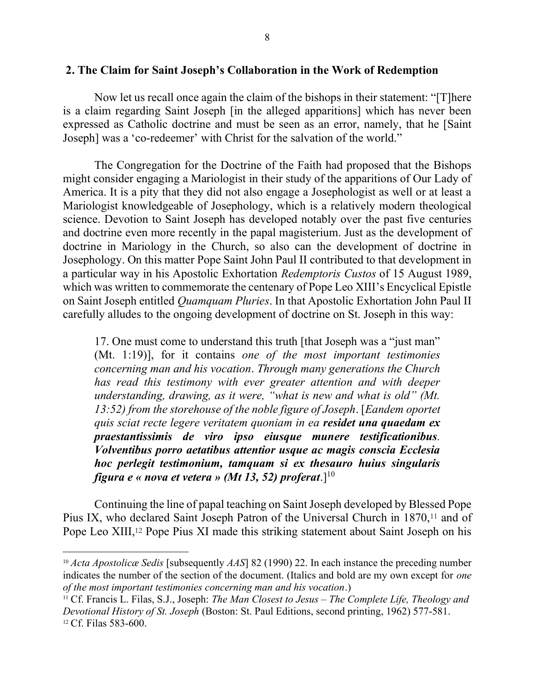## 2. The Claim for Saint Joseph's Collaboration in the Work of Redemption

 Now let us recall once again the claim of the bishops in their statement: "[T]here is a claim regarding Saint Joseph [in the alleged apparitions] which has never been expressed as Catholic doctrine and must be seen as an error, namely, that he [Saint Joseph] was a 'co-redeemer' with Christ for the salvation of the world."

The Congregation for the Doctrine of the Faith had proposed that the Bishops might consider engaging a Mariologist in their study of the apparitions of Our Lady of America. It is a pity that they did not also engage a Josephologist as well or at least a Mariologist knowledgeable of Josephology, which is a relatively modern theological science. Devotion to Saint Joseph has developed notably over the past five centuries and doctrine even more recently in the papal magisterium. Just as the development of doctrine in Mariology in the Church, so also can the development of doctrine in Josephology. On this matter Pope Saint John Paul II contributed to that development in a particular way in his Apostolic Exhortation Redemptoris Custos of 15 August 1989, which was written to commemorate the centenary of Pope Leo XIII's Encyclical Epistle on Saint Joseph entitled *Quamquam Pluries*. In that Apostolic Exhortation John Paul II carefully alludes to the ongoing development of doctrine on St. Joseph in this way:

17. One must come to understand this truth [that Joseph was a "just man" (Mt. 1:19)], for it contains one of the most important testimonies concerning man and his vocation. Through many generations the Church has read this testimony with ever greater attention and with deeper understanding, drawing, as it were, "what is new and what is old" (Mt. 13:52) from the storehouse of the noble figure of Joseph. [Eandem oportet quis sciat recte legere veritatem quoniam in ea residet una quaedam ex praestantissimis de viro ipso eiusque munere testificationibus. Volventibus porro aetatibus attentior usque ac magis conscia Ecclesia hoc perlegit testimonium, tamquam si ex thesauro huius singularis figura e « nova et vetera » (Mt 13, 52) proferat.]<sup>10</sup>

 Continuing the line of papal teaching on Saint Joseph developed by Blessed Pope Pius IX, who declared Saint Joseph Patron of the Universal Church in 1870,<sup>11</sup> and of Pope Leo XIII,12 Pope Pius XI made this striking statement about Saint Joseph on his

<sup>&</sup>lt;sup>10</sup> Acta Apostolicæ Sedis [subsequently  $AAS$ ] 82 (1990) 22. In each instance the preceding number indicates the number of the section of the document. (Italics and bold are my own except for one of the most important testimonies concerning man and his vocation.)

<sup>&</sup>lt;sup>11</sup> Cf. Francis L. Filas, S.J., Joseph: *The Man Closest to Jesus – The Complete Life, Theology and* Devotional History of St. Joseph (Boston: St. Paul Editions, second printing, 1962) 577-581. <sup>12</sup> Cf. Filas 583-600.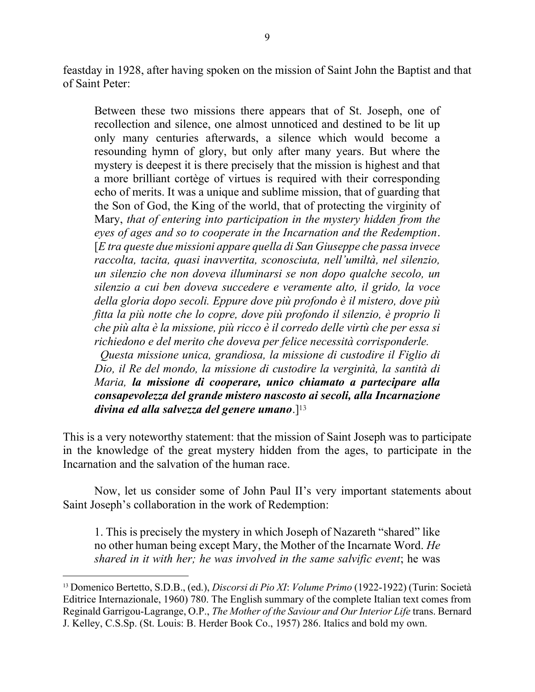feastday in 1928, after having spoken on the mission of Saint John the Baptist and that of Saint Peter:

Between these two missions there appears that of St. Joseph, one of recollection and silence, one almost unnoticed and destined to be lit up only many centuries afterwards, a silence which would become a resounding hymn of glory, but only after many years. But where the mystery is deepest it is there precisely that the mission is highest and that a more brilliant cortège of virtues is required with their corresponding echo of merits. It was a unique and sublime mission, that of guarding that the Son of God, the King of the world, that of protecting the virginity of Mary, that of entering into participation in the mystery hidden from the eyes of ages and so to cooperate in the Incarnation and the Redemption. [E tra queste due missioni appare quella di San Giuseppe che passa invece raccolta, tacita, quasi inavvertita, sconosciuta, nell'umiltà, nel silenzio, un silenzio che non doveva illuminarsi se non dopo qualche secolo, un silenzio a cui ben doveva succedere e veramente alto, il grido, la voce della gloria dopo secoli. Eppure dove più profondo è il mistero, dove più fitta la più notte che lo copre, dove più profondo il silenzio, è proprio lì che più alta è la missione, più ricco è il corredo delle virtù che per essa si richiedono e del merito che doveva per felice necessità corrisponderle.

 Questa missione unica, grandiosa, la missione di custodire il Figlio di Dio, il Re del mondo, la missione di custodire la verginità, la santità di Maria, la missione di cooperare, unico chiamato a partecipare alla consapevolezza del grande mistero nascosto ai secoli, alla Incarnazione divina ed alla salvezza del genere umano. $]^{13}$ 

This is a very noteworthy statement: that the mission of Saint Joseph was to participate in the knowledge of the great mystery hidden from the ages, to participate in the Incarnation and the salvation of the human race.

Now, let us consider some of John Paul II's very important statements about Saint Joseph's collaboration in the work of Redemption:

1. This is precisely the mystery in which Joseph of Nazareth "shared" like no other human being except Mary, the Mother of the Incarnate Word. He shared in it with her; he was involved in the same salvific event; he was

<sup>&</sup>lt;sup>13</sup> Domenico Bertetto, S.D.B., (ed.), *Discorsi di Pio XI: Volume Primo* (1922-1922) (Turin: Società Editrice Internazionale, 1960) 780. The English summary of the complete Italian text comes from Reginald Garrigou-Lagrange, O.P., The Mother of the Saviour and Our Interior Life trans. Bernard J. Kelley, C.S.Sp. (St. Louis: B. Herder Book Co., 1957) 286. Italics and bold my own.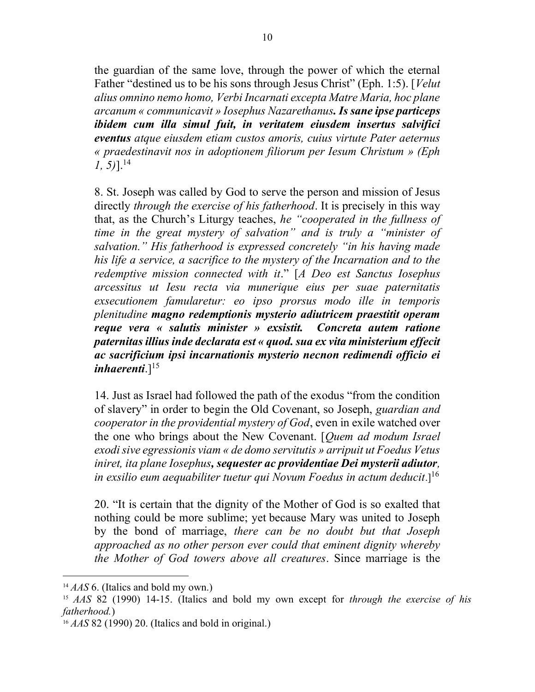the guardian of the same love, through the power of which the eternal Father "destined us to be his sons through Jesus Christ" (Eph. 1:5). [Velut alius omnino nemo homo, Verbi Incarnati excepta Matre Maria, hoc plane arcanum « communicavit » Iosephus Nazarethanus. Is sane ipse particeps ibidem cum illa simul fuit, in veritatem eiusdem insertus salvifici eventus atque eiusdem etiam custos amoris, cuius virtute Pater aeternus « praedestinavit nos in adoptionem filiorum per Iesum Christum » (Eph  $1, 5)$ ].<sup>14</sup>

8. St. Joseph was called by God to serve the person and mission of Jesus directly *through the exercise of his fatherhood*. It is precisely in this way that, as the Church's Liturgy teaches, he "cooperated in the fullness of time in the great mystery of salvation" and is truly a "minister of salvation." His fatherhood is expressed concretely "in his having made his life a service, a sacrifice to the mystery of the Incarnation and to the redemptive mission connected with it." [A Deo est Sanctus Iosephus arcessitus ut Iesu recta via munerique eius per suae paternitatis exsecutionem famularetur: eo ipso prorsus modo ille in temporis plenitudine magno redemptionis mysterio adiutricem praestitit operam reque vera « salutis minister » exsistit. Concreta autem ratione paternitas illius inde declarata est « quod. sua ex vita ministerium effecit ac sacrificium ipsi incarnationis mysterio necnon redimendi officio ei inhaerenti. $]^{15}$ 

14. Just as Israel had followed the path of the exodus "from the condition of slavery" in order to begin the Old Covenant, so Joseph, guardian and cooperator in the providential mystery of God, even in exile watched over the one who brings about the New Covenant. [*Quem ad modum Israel* exodi sive egressionis viam « de domo servitutis » arripuit ut Foedus Vetus iniret, ita plane Iosephus, sequester ac providentiae Dei mysterii adiutor, in exsilio eum aequabiliter tuetur qui Novum Foedus in actum deducit. $1^{16}$ 

20. "It is certain that the dignity of the Mother of God is so exalted that nothing could be more sublime; yet because Mary was united to Joseph by the bond of marriage, there can be no doubt but that Joseph approached as no other person ever could that eminent dignity whereby the Mother of God towers above all creatures. Since marriage is the

 $14$  AAS 6. (Italics and bold my own.)

<sup>&</sup>lt;sup>15</sup> AAS 82 (1990) 14-15. (Italics and bold my own except for through the exercise of his fatherhood.)

 $16$  AAS 82 (1990) 20. (Italics and bold in original.)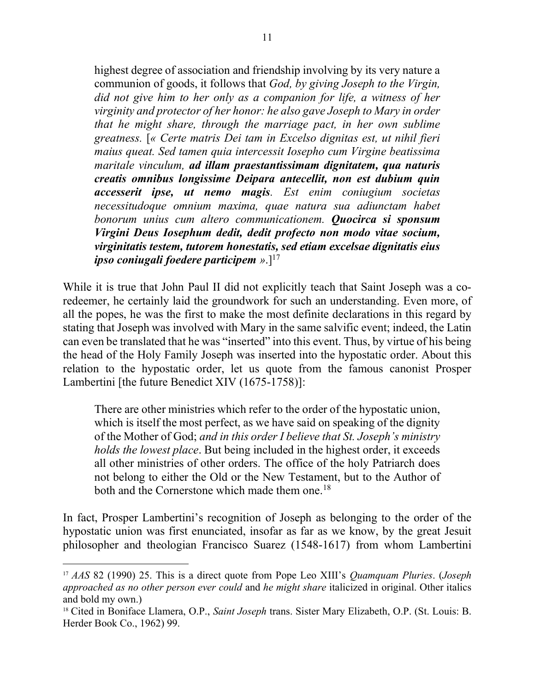highest degree of association and friendship involving by its very nature a communion of goods, it follows that God, by giving Joseph to the Virgin, did not give him to her only as a companion for life, a witness of her virginity and protector of her honor: he also gave Joseph to Mary in order that he might share, through the marriage pact, in her own sublime greatness. [« Certe matris Dei tam in Excelso dignitas est, ut nihil fieri maius queat. Sed tamen quia intercessit Iosepho cum Virgine beatissima maritale vinculum, ad illam praestantissimam dignitatem, qua naturis creatis omnibus longissime Deipara antecellit, non est dubium quin accesserit ipse, ut nemo magis. Est enim coniugium societas necessitudoque omnium maxima, quae natura sua adiunctam habet bonorum unius cum altero communicationem. **Quocirca si sponsum** Virgini Deus Iosephum dedit, dedit profecto non modo vitae socium, virginitatis testem, tutorem honestatis, sed etiam excelsae dignitatis eius ipso coniugali foedere participem  $\partial \mu$ .<sup>[17]</sup>

While it is true that John Paul II did not explicitly teach that Saint Joseph was a coredeemer, he certainly laid the groundwork for such an understanding. Even more, of all the popes, he was the first to make the most definite declarations in this regard by stating that Joseph was involved with Mary in the same salvific event; indeed, the Latin can even be translated that he was "inserted" into this event. Thus, by virtue of his being the head of the Holy Family Joseph was inserted into the hypostatic order. About this relation to the hypostatic order, let us quote from the famous canonist Prosper Lambertini [the future Benedict XIV (1675-1758)]:

There are other ministries which refer to the order of the hypostatic union, which is itself the most perfect, as we have said on speaking of the dignity of the Mother of God; and in this order I believe that St. Joseph's ministry holds the lowest place. But being included in the highest order, it exceeds all other ministries of other orders. The office of the holy Patriarch does not belong to either the Old or the New Testament, but to the Author of both and the Cornerstone which made them one.<sup>18</sup>

In fact, Prosper Lambertini's recognition of Joseph as belonging to the order of the hypostatic union was first enunciated, insofar as far as we know, by the great Jesuit philosopher and theologian Francisco Suarez (1548-1617) from whom Lambertini

<sup>&</sup>lt;sup>17</sup> AAS 82 (1990) 25. This is a direct quote from Pope Leo XIII's *Quamquam Pluries. (Joseph* approached as no other person ever could and he might share italicized in original. Other italics and bold my own.)

<sup>&</sup>lt;sup>18</sup> Cited in Boniface Llamera, O.P., Saint Joseph trans. Sister Mary Elizabeth, O.P. (St. Louis: B. Herder Book Co., 1962) 99.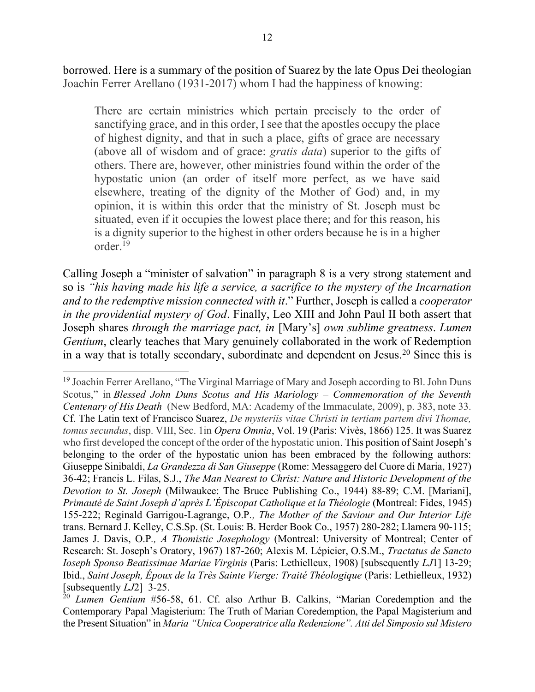borrowed. Here is a summary of the position of Suarez by the late Opus Dei theologian Joachín Ferrer Arellano (1931-2017) whom I had the happiness of knowing:

There are certain ministries which pertain precisely to the order of sanctifying grace, and in this order, I see that the apostles occupy the place of highest dignity, and that in such a place, gifts of grace are necessary (above all of wisdom and of grace: gratis data) superior to the gifts of others. There are, however, other ministries found within the order of the hypostatic union (an order of itself more perfect, as we have said elsewhere, treating of the dignity of the Mother of God) and, in my opinion, it is within this order that the ministry of St. Joseph must be situated, even if it occupies the lowest place there; and for this reason, his is a dignity superior to the highest in other orders because he is in a higher order.<sup>19</sup>

Calling Joseph a "minister of salvation" in paragraph 8 is a very strong statement and so is "his having made his life a service, a sacrifice to the mystery of the Incarnation and to the redemptive mission connected with it." Further, Joseph is called a cooperator in the providential mystery of God. Finally, Leo XIII and John Paul II both assert that Joseph shares through the marriage pact, in [Mary's] own sublime greatness. Lumen Gentium, clearly teaches that Mary genuinely collaborated in the work of Redemption in a way that is totally secondary, subordinate and dependent on Jesus.<sup>20</sup> Since this is

<sup>19</sup> Joachín Ferrer Arellano, "The Virginal Marriage of Mary and Joseph according to Bl. John Duns Scotus," in Blessed John Duns Scotus and His Mariology – Commemoration of the Seventh Centenary of His Death (New Bedford, MA: Academy of the Immaculate, 2009), p. 383, note 33. Cf. The Latin text of Francisco Suarez, De mysteriis vitae Christi in tertiam partem divi Thomae, tomus secundus, disp. VIII, Sec. 1in *Opera Omnia*, Vol. 19 (Paris: Vivès, 1866) 125. It was Suarez who first developed the concept of the order of the hypostatic union. This position of Saint Joseph's belonging to the order of the hypostatic union has been embraced by the following authors: Giuseppe Sinibaldi, La Grandezza di San Giuseppe (Rome: Messaggero del Cuore di Maria, 1927) 36-42; Francis L. Filas, S.J., The Man Nearest to Christ: Nature and Historic Development of the Devotion to St. Joseph (Milwaukee: The Bruce Publishing Co., 1944) 88-89; C.M. [Mariani], Primauté de Saint Joseph d'après L'Épiscopat Catholique et la Théologie (Montreal: Fides, 1945) 155-222; Reginald Garrigou-Lagrange, O.P., The Mother of the Saviour and Our Interior Life trans. Bernard J. Kelley, C.S.Sp. (St. Louis: B. Herder Book Co., 1957) 280-282; Llamera 90-115; James J. Davis, O.P., A Thomistic Josephology (Montreal: University of Montreal; Center of Research: St. Joseph's Oratory, 1967) 187-260; Alexis M. Lépicier, O.S.M., Tractatus de Sancto Ioseph Sponso Beatissimae Mariae Virginis (Paris: Lethielleux, 1908) [subsequently LJ1] 13-29; Ibid., Saint Joseph, Époux de la Très Sainte Vierge: Traité Théologique (Paris: Lethielleux, 1932) [subsequently  $LJ2$ ] 3-25.

<sup>&</sup>lt;sup>20</sup> Lumen Gentium  $#56-58$ , 61. Cf. also Arthur B. Calkins, "Marian Coredemption and the Contemporary Papal Magisterium: The Truth of Marian Coredemption, the Papal Magisterium and the Present Situation" in Maria "Unica Cooperatrice alla Redenzione". Atti del Simposio sul Mistero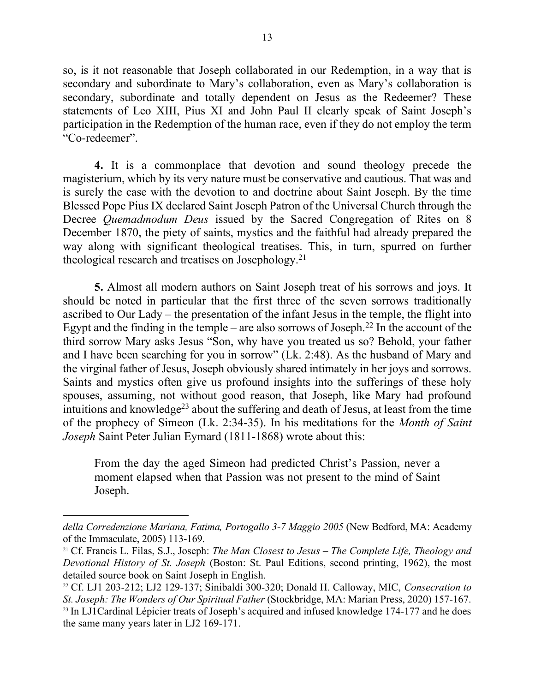so, is it not reasonable that Joseph collaborated in our Redemption, in a way that is secondary and subordinate to Mary's collaboration, even as Mary's collaboration is secondary, subordinate and totally dependent on Jesus as the Redeemer? These statements of Leo XIII, Pius XI and John Paul II clearly speak of Saint Joseph's participation in the Redemption of the human race, even if they do not employ the term "Co-redeemer".

4. It is a commonplace that devotion and sound theology precede the magisterium, which by its very nature must be conservative and cautious. That was and is surely the case with the devotion to and doctrine about Saint Joseph. By the time Blessed Pope Pius IX declared Saint Joseph Patron of the Universal Church through the Decree Quemadmodum Deus issued by the Sacred Congregation of Rites on 8 December 1870, the piety of saints, mystics and the faithful had already prepared the way along with significant theological treatises. This, in turn, spurred on further theological research and treatises on Josephology.<sup>21</sup>

5. Almost all modern authors on Saint Joseph treat of his sorrows and joys. It should be noted in particular that the first three of the seven sorrows traditionally ascribed to Our Lady – the presentation of the infant Jesus in the temple, the flight into Egypt and the finding in the temple – are also sorrows of Joseph.<sup>22</sup> In the account of the third sorrow Mary asks Jesus "Son, why have you treated us so? Behold, your father and I have been searching for you in sorrow" (Lk. 2:48). As the husband of Mary and the virginal father of Jesus, Joseph obviously shared intimately in her joys and sorrows. Saints and mystics often give us profound insights into the sufferings of these holy spouses, assuming, not without good reason, that Joseph, like Mary had profound intuitions and knowledge<sup>23</sup> about the suffering and death of Jesus, at least from the time of the prophecy of Simeon (Lk. 2:34-35). In his meditations for the Month of Saint Joseph Saint Peter Julian Eymard (1811-1868) wrote about this:

From the day the aged Simeon had predicted Christ's Passion, never a moment elapsed when that Passion was not present to the mind of Saint Joseph.

della Corredenzione Mariana, Fatima, Portogallo 3-7 Maggio 2005 (New Bedford, MA: Academy of the Immaculate, 2005) 113-169.

<sup>&</sup>lt;sup>21</sup> Cf. Francis L. Filas, S.J., Joseph: *The Man Closest to Jesus – The Complete Life, Theology and* Devotional History of St. Joseph (Boston: St. Paul Editions, second printing, 1962), the most detailed source book on Saint Joseph in English.

<sup>&</sup>lt;sup>22</sup> Cf. LJ1 203-212; LJ2 129-137; Sinibaldi 300-320; Donald H. Calloway, MIC, Consecration to St. Joseph: The Wonders of Our Spiritual Father (Stockbridge, MA: Marian Press, 2020) 157-167.

<sup>&</sup>lt;sup>23</sup> In LJ1Cardinal Lépicier treats of Joseph's acquired and infused knowledge 174-177 and he does the same many years later in LJ2 169-171.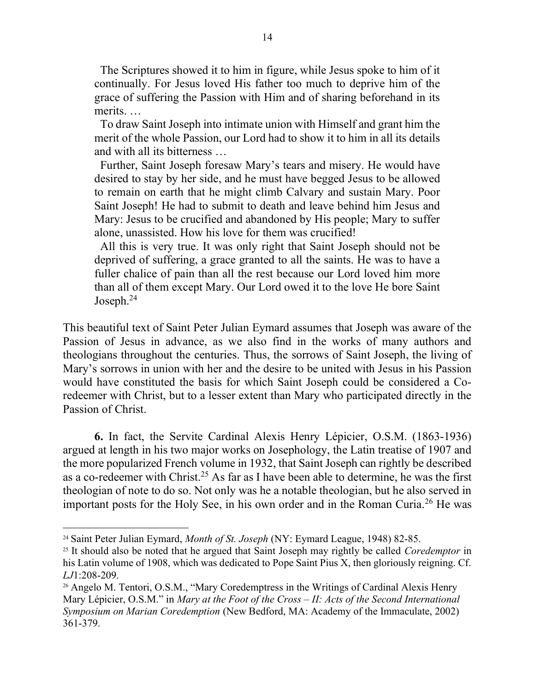The Scriptures showed it to him in figure, while Jesus spoke to him of it continually. For Jesus loved His father too much to deprive him of the grace of suffering the Passion with Him and of sharing beforehand in its merits. …

 To draw Saint Joseph into intimate union with Himself and grant him the merit of the whole Passion, our Lord had to show it to him in all its details and with all its bitterness …

 Further, Saint Joseph foresaw Mary's tears and misery. He would have desired to stay by her side, and he must have begged Jesus to be allowed to remain on earth that he might climb Calvary and sustain Mary. Poor Saint Joseph! He had to submit to death and leave behind him Jesus and Mary: Jesus to be crucified and abandoned by His people; Mary to suffer alone, unassisted. How his love for them was crucified!

 All this is very true. It was only right that Saint Joseph should not be deprived of suffering, a grace granted to all the saints. He was to have a fuller chalice of pain than all the rest because our Lord loved him more than all of them except Mary. Our Lord owed it to the love He bore Saint Joseph.<sup>24</sup>

This beautiful text of Saint Peter Julian Eymard assumes that Joseph was aware of the Passion of Jesus in advance, as we also find in the works of many authors and theologians throughout the centuries. Thus, the sorrows of Saint Joseph, the living of Mary's sorrows in union with her and the desire to be united with Jesus in his Passion would have constituted the basis for which Saint Joseph could be considered a Coredeemer with Christ, but to a lesser extent than Mary who participated directly in the Passion of Christ.

6. In fact, the Servite Cardinal Alexis Henry Lépicier, O.S.M. (1863-1936) argued at length in his two major works on Josephology, the Latin treatise of 1907 and the more popularized French volume in 1932, that Saint Joseph can rightly be described as a co-redeemer with Christ.<sup>25</sup> As far as I have been able to determine, he was the first theologian of note to do so. Not only was he a notable theologian, but he also served in important posts for the Holy See, in his own order and in the Roman Curia.<sup>26</sup> He was

<sup>&</sup>lt;sup>24</sup> Saint Peter Julian Eymard, Month of St. Joseph (NY: Eymard League, 1948) 82-85.

<sup>&</sup>lt;sup>25</sup> It should also be noted that he argued that Saint Joseph may rightly be called *Coredemptor* in his Latin volume of 1908, which was dedicated to Pope Saint Pius X, then gloriously reigning. Cf. LJ1:208-209.

<sup>&</sup>lt;sup>26</sup> Angelo M. Tentori, O.S.M., "Mary Coredemptress in the Writings of Cardinal Alexis Henry Mary Lépicier, O.S.M." in Mary at the Foot of the Cross – II: Acts of the Second International Symposium on Marian Coredemption (New Bedford, MA: Academy of the Immaculate, 2002) 361-379.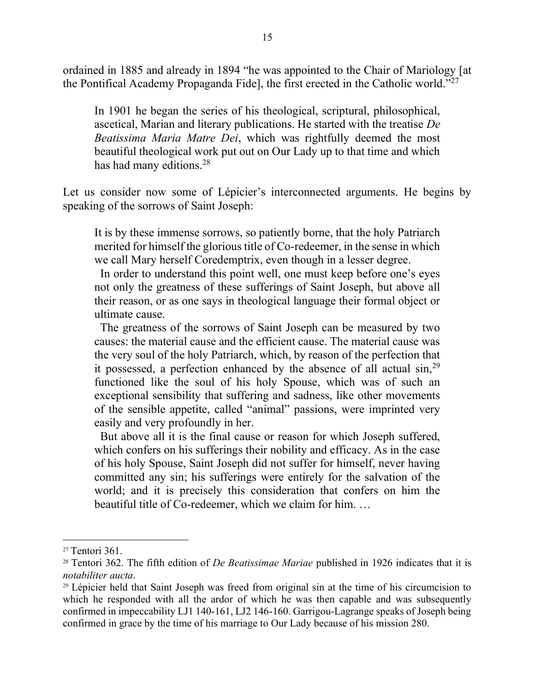ordained in 1885 and already in 1894 "he was appointed to the Chair of Mariology [at the Pontifical Academy Propaganda Fide], the first erected in the Catholic world."<sup>27</sup>

In 1901 he began the series of his theological, scriptural, philosophical, ascetical, Marian and literary publications. He started with the treatise De Beatissima Maria Matre Dei, which was rightfully deemed the most beautiful theological work put out on Our Lady up to that time and which has had many editions.<sup>28</sup>

Let us consider now some of Lépicier's interconnected arguments. He begins by speaking of the sorrows of Saint Joseph:

It is by these immense sorrows, so patiently borne, that the holy Patriarch merited for himself the glorious title of Co-redeemer, in the sense in which we call Mary herself Coredemptrix, even though in a lesser degree.

 In order to understand this point well, one must keep before one's eyes not only the greatness of these sufferings of Saint Joseph, but above all their reason, or as one says in theological language their formal object or ultimate cause.

 The greatness of the sorrows of Saint Joseph can be measured by two causes: the material cause and the efficient cause. The material cause was the very soul of the holy Patriarch, which, by reason of the perfection that it possessed, a perfection enhanced by the absence of all actual  $\sin^{29}$ functioned like the soul of his holy Spouse, which was of such an exceptional sensibility that suffering and sadness, like other movements of the sensible appetite, called "animal" passions, were imprinted very easily and very profoundly in her.

 But above all it is the final cause or reason for which Joseph suffered, which confers on his sufferings their nobility and efficacy. As in the case of his holy Spouse, Saint Joseph did not suffer for himself, never having committed any sin; his sufferings were entirely for the salvation of the world; and it is precisely this consideration that confers on him the beautiful title of Co-redeemer, which we claim for him. …

<sup>27</sup> Tentori 361.

<sup>&</sup>lt;sup>28</sup> Tentori 362. The fifth edition of *De Beatissimae Mariae* published in 1926 indicates that it is notabiliter aucta.

<sup>&</sup>lt;sup>29</sup> Lépicier held that Saint Joseph was freed from original sin at the time of his circumcision to which he responded with all the ardor of which he was then capable and was subsequently confirmed in impeccability LJ1 140-161, LJ2 146-160. Garrigou-Lagrange speaks of Joseph being confirmed in grace by the time of his marriage to Our Lady because of his mission 280.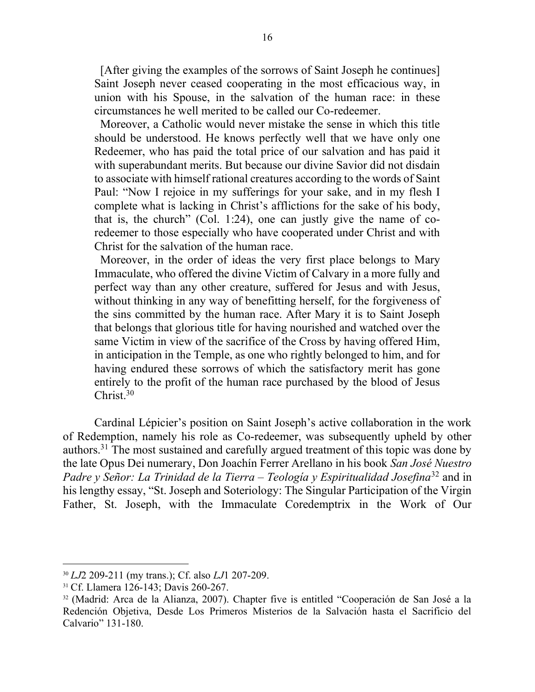[After giving the examples of the sorrows of Saint Joseph he continues] Saint Joseph never ceased cooperating in the most efficacious way, in union with his Spouse, in the salvation of the human race: in these circumstances he well merited to be called our Co-redeemer.

 Moreover, a Catholic would never mistake the sense in which this title should be understood. He knows perfectly well that we have only one Redeemer, who has paid the total price of our salvation and has paid it with superabundant merits. But because our divine Savior did not disdain to associate with himself rational creatures according to the words of Saint Paul: "Now I rejoice in my sufferings for your sake, and in my flesh I complete what is lacking in Christ's afflictions for the sake of his body, that is, the church" (Col. 1:24), one can justly give the name of coredeemer to those especially who have cooperated under Christ and with Christ for the salvation of the human race.

 Moreover, in the order of ideas the very first place belongs to Mary Immaculate, who offered the divine Victim of Calvary in a more fully and perfect way than any other creature, suffered for Jesus and with Jesus, without thinking in any way of benefitting herself, for the forgiveness of the sins committed by the human race. After Mary it is to Saint Joseph that belongs that glorious title for having nourished and watched over the same Victim in view of the sacrifice of the Cross by having offered Him, in anticipation in the Temple, as one who rightly belonged to him, and for having endured these sorrows of which the satisfactory merit has gone entirely to the profit of the human race purchased by the blood of Jesus Christ.<sup>30</sup>

Cardinal Lépicier's position on Saint Joseph's active collaboration in the work of Redemption, namely his role as Co-redeemer, was subsequently upheld by other authors.<sup>31</sup> The most sustained and carefully argued treatment of this topic was done by the late Opus Dei numerary, Don Joachín Ferrer Arellano in his book San José Nuestro Padre y Señor: La Trinidad de la Tierra – Teología y Espiritualidad Josefina<sup>32</sup> and in his lengthy essay, "St. Joseph and Soteriology: The Singular Participation of the Virgin Father, St. Joseph, with the Immaculate Coredemptrix in the Work of Our

<sup>&</sup>lt;sup>30</sup> *LJ*2 209-211 (my trans.); Cf. also *LJ*1 207-209.

<sup>&</sup>lt;sup>31</sup> Cf. Llamera 126-143; Davis 260-267.

<sup>32</sup> (Madrid: Arca de la Alianza, 2007). Chapter five is entitled "Cooperación de San José a la Redención Objetiva, Desde Los Primeros Misterios de la Salvación hasta el Sacrificio del Calvario" 131-180.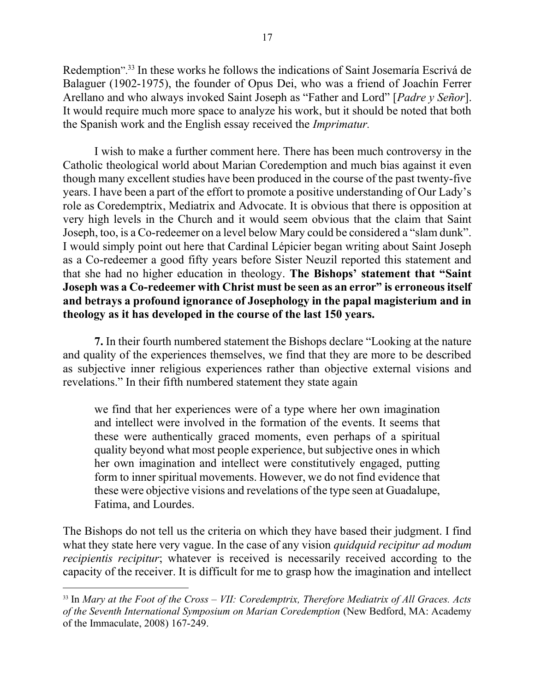Redemption".<sup>33</sup> In these works he follows the indications of Saint Josemaría Escrivá de Balaguer (1902-1975), the founder of Opus Dei, who was a friend of Joachín Ferrer Arellano and who always invoked Saint Joseph as "Father and Lord" [Padre y Señor]. It would require much more space to analyze his work, but it should be noted that both the Spanish work and the English essay received the Imprimatur.

 I wish to make a further comment here. There has been much controversy in the Catholic theological world about Marian Coredemption and much bias against it even though many excellent studies have been produced in the course of the past twenty-five years. I have been a part of the effort to promote a positive understanding of Our Lady's role as Coredemptrix, Mediatrix and Advocate. It is obvious that there is opposition at very high levels in the Church and it would seem obvious that the claim that Saint Joseph, too, is a Co-redeemer on a level below Mary could be considered a "slam dunk". I would simply point out here that Cardinal Lépicier began writing about Saint Joseph as a Co-redeemer a good fifty years before Sister Neuzil reported this statement and that she had no higher education in theology. The Bishops' statement that "Saint Joseph was a Co-redeemer with Christ must be seen as an error" is erroneous itself and betrays a profound ignorance of Josephology in the papal magisterium and in theology as it has developed in the course of the last 150 years.

7. In their fourth numbered statement the Bishops declare "Looking at the nature and quality of the experiences themselves, we find that they are more to be described as subjective inner religious experiences rather than objective external visions and revelations." In their fifth numbered statement they state again

we find that her experiences were of a type where her own imagination and intellect were involved in the formation of the events. It seems that these were authentically graced moments, even perhaps of a spiritual quality beyond what most people experience, but subjective ones in which her own imagination and intellect were constitutively engaged, putting form to inner spiritual movements. However, we do not find evidence that these were objective visions and revelations of the type seen at Guadalupe, Fatima, and Lourdes.

The Bishops do not tell us the criteria on which they have based their judgment. I find what they state here very vague. In the case of any vision *quidquid recipitur ad modum* recipientis recipitur; whatever is received is necessarily received according to the capacity of the receiver. It is difficult for me to grasp how the imagination and intellect

 $33$  In Mary at the Foot of the Cross – VII: Coredemptrix, Therefore Mediatrix of All Graces. Acts of the Seventh International Symposium on Marian Coredemption (New Bedford, MA: Academy of the Immaculate, 2008) 167-249.